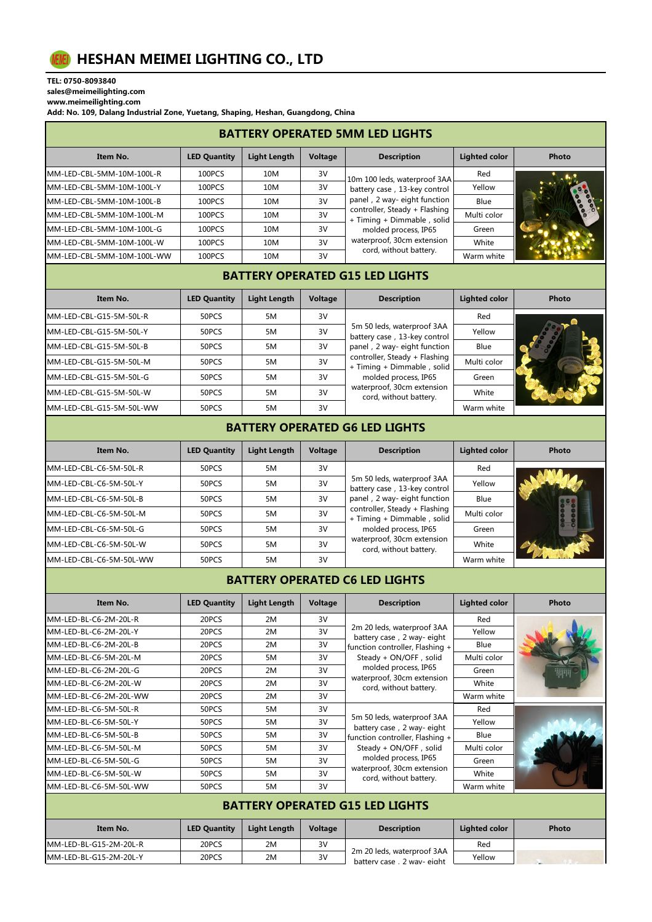

TEL: 0750-8093840

sales@meimeilighting.com www.meimeilighting.com

Add: No. 109, Dalang Industrial Zone, Yuetang, Shaping, Heshan, Guangdong, China

| <b>BATTERY OPERATED 5MM LED LIGHTS</b> |                     |              |         |                                                             |                      |       |  |  |
|----------------------------------------|---------------------|--------------|---------|-------------------------------------------------------------|----------------------|-------|--|--|
| Item No.                               | <b>LED Quantity</b> | Light Length | Voltage | <b>Description</b>                                          | <b>Lighted color</b> | Photo |  |  |
| MM-LED-CBL-5MM-10M-100L-R              | 100PCS              | 10M          | 3V      | 10m 100 leds, waterproof 3AA                                | Red                  |       |  |  |
| MM-LED-CBL-5MM-10M-100L-Y              | 100PCS              | 10M          | 3V      | battery case, 13-key control                                | Yellow               |       |  |  |
| MM-LED-CBL-5MM-10M-100L-B              | 100PCS              | 10M          | 3V      | panel, 2 way-eight function                                 | Blue                 |       |  |  |
| MM-LED-CBL-5MM-10M-100L-M              | 100PCS              | 10M          | 3V      | controller, Steady + Flashing<br>+ Timing + Dimmable, solid | Multi color          |       |  |  |
| MM-LED-CBL-5MM-10M-100L-G              | 100PCS              | 10M          | 3V      | molded process, IP65                                        | Green                |       |  |  |
| MM-LED-CBL-5MM-10M-100L-W              | 100PCS              | 10M          | 3V      | waterproof, 30cm extension                                  | White                |       |  |  |
| MM-LED-CBL-5MM-10M-100L-WW             | 100PCS              | 10M          | 3V      | cord, without battery.                                      | Warm white           |       |  |  |

## BATTERY OPERATED G15 LED LIGHTS

| Item No.                 | <b>LED Quantity</b> | Light Length | Voltage | <b>Description</b>                                                                                                                                                                                                                       | <b>Lighted color</b> | Photo |
|--------------------------|---------------------|--------------|---------|------------------------------------------------------------------------------------------------------------------------------------------------------------------------------------------------------------------------------------------|----------------------|-------|
| MM-LED-CBL-G15-5M-50L-R  | 50PCS               | 5M           | 3V      | 5m 50 leds, waterproof 3AA<br>battery case, 13-key control<br>panel, 2 way-eight function<br>controller, Steady + Flashing<br>+ Timing + Dimmable, solid<br>molded process, IP65<br>waterproof, 30cm extension<br>cord, without battery. | Red                  |       |
| MM-LED-CBL-G15-5M-50L-Y  | 50PCS               | 5M           | 3V      |                                                                                                                                                                                                                                          | Yellow               |       |
| MM-LED-CBL-G15-5M-50L-B  | 50PCS               | 5M           | 3V      |                                                                                                                                                                                                                                          | Blue                 |       |
| MM-LED-CBL-G15-5M-50L-M  | 50PCS               | 5M           | 3V      |                                                                                                                                                                                                                                          | Multi color          |       |
| MM-LED-CBL-G15-5M-50L-G  | 50PCS               | 5M           | 3V      |                                                                                                                                                                                                                                          | Green                |       |
| MM-LED-CBL-G15-5M-50L-W  | 50PCS               | 5M           | 3V      |                                                                                                                                                                                                                                          | White                |       |
| MM-LED-CBL-G15-5M-50L-WW | 50PCS               | 5M           | 3V      |                                                                                                                                                                                                                                          | Warm white           |       |

## BATTERY OPERATED G6 LED LIGHTS

| Item No.                | <b>LED Quantity</b> | <b>Light Length</b> | Voltage | <b>Description</b>                                          | Lighted color | Photo |
|-------------------------|---------------------|---------------------|---------|-------------------------------------------------------------|---------------|-------|
| MM-LED-CBL-C6-5M-50L-R  | 50PCS               | 5M                  | 3V      |                                                             | Red           |       |
| MM-LED-CBL-C6-5M-50L-Y  | 50PCS               | 5M                  | 3V      | 5m 50 leds, waterproof 3AA<br>battery case, 13-key control  | Yellow        |       |
| MM-LED-CBL-C6-5M-50L-B  | 50PCS               | 5M                  | 3V      | panel, 2 way-eight function                                 | Blue          |       |
| MM-LED-CBL-C6-5M-50L-M  | 50PCS               | 5M                  | 3V      | controller, Steady + Flashing<br>+ Timing + Dimmable, solid | Multi color   |       |
| MM-LED-CBL-C6-5M-50L-G  | 50PCS               | 5M                  | 3V      | molded process, IP65                                        | Green         |       |
| MM-LED-CBL-C6-5M-50L-W  | 50PCS               | 5M                  | 3V      | waterproof, 30cm extension<br>cord, without battery.        | White         |       |
| MM-LED-CBL-C6-5M-50L-WW | 50PCS               | 5M                  | 3V      |                                                             | Warm white    |       |

## BATTERY OPERATED C6 LED LIGHTS

| Item No.               | <b>LED Quantity</b> | <b>Light Length</b> | Voltage | <b>Description</b>                                                                                                                                                                                   | <b>Lighted color</b> | Photo |
|------------------------|---------------------|---------------------|---------|------------------------------------------------------------------------------------------------------------------------------------------------------------------------------------------------------|----------------------|-------|
| MM-LED-BL-C6-2M-20L-R  | 20PCS               | 2M                  | 3V      |                                                                                                                                                                                                      | Red                  |       |
| MM-LED-BL-C6-2M-20L-Y  | 20PCS               | 2M                  | 3V      | 2m 20 leds, waterproof 3AA<br>battery case, 2 way-eight                                                                                                                                              | Yellow               |       |
| MM-LED-BL-C6-2M-20L-B  | 20PCS               | 2M                  | 3V      | function controller, Flashing +                                                                                                                                                                      | <b>Blue</b>          |       |
| MM-LED-BL-C6-5M-20L-M  | 20PCS               | 5M                  | 3V      | Steady + ON/OFF, solid                                                                                                                                                                               | Multi color          |       |
| MM-LED-BL-C6-2M-20L-G  | 20PCS               | 2M                  | 3V      | molded process, IP65<br>waterproof, 30cm extension<br>cord, without battery.                                                                                                                         | Green                |       |
| MM-LED-BL-C6-2M-20L-W  | 20PCS               | 2M                  | 3V      |                                                                                                                                                                                                      | White                |       |
| MM-LED-BL-C6-2M-20L-WW | 20PCS               | 2M                  | 3V      |                                                                                                                                                                                                      | Warm white           |       |
| MM-LED-BL-C6-5M-50L-R  | 50PCS               | 5M                  | 3V      | 5m 50 leds, waterproof 3AA<br>battery case, 2 way-eight<br>function controller, Flashing +<br>Steady + ON/OFF, solid<br>molded process, IP65<br>waterproof, 30cm extension<br>cord, without battery. | Red                  |       |
| MM-LED-BL-C6-5M-50L-Y  | 50PCS               | 5M                  | 3V      |                                                                                                                                                                                                      | Yellow               |       |
| MM-LED-BL-C6-5M-50L-B  | 50PCS               | 5M                  | 3V      |                                                                                                                                                                                                      | <b>Blue</b>          |       |
| MM-LED-BL-C6-5M-50L-M  | 50PCS               | 5M                  | 3V      |                                                                                                                                                                                                      | Multi color          |       |
| MM-LED-BL-C6-5M-50L-G  | 50PCS               | 5M                  | 3V      |                                                                                                                                                                                                      | Green                |       |
| MM-LED-BL-C6-5M-50L-W  | 50PCS               | 5M                  | 3V      |                                                                                                                                                                                                      | White                |       |
| MM-LED-BL-C6-5M-50L-WW | 50PCS               | 5M                  | 3V      |                                                                                                                                                                                                      | Warm white           |       |

## BATTERY OPERATED G15 LED LIGHTS

| Item No.               | <b>LED Quantity</b> | Light Length | <b>Voltage</b> | <b>Description</b>                                         | Lighted color | Photo |
|------------------------|---------------------|--------------|----------------|------------------------------------------------------------|---------------|-------|
| MM-LED-BL-G15-2M-20L-R | 20PCS               | 2M           | 3V             |                                                            | Red           |       |
| MM-LED-BL-G15-2M-20L-Y | 20PCS               | 2M           | 3V             | 2m 20 leds, waterproof 3AA<br>? wav- eight<br>hattery case | Yellow        |       |